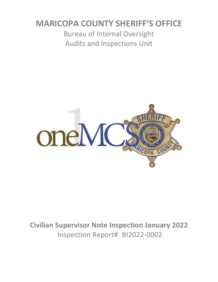# **MARICOPA COUNTY SHERIFF'S OFFICE**

Bureau of Internal Oversight Audits and Inspections Unit



**Civilian Supervisor Note Inspection January 2022** Inspection Report# BI2022-0002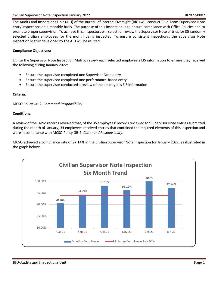The Audits and Inspections Unit (AIU) of the Bureau of Internal Oversight (BIO) will conduct Blue Team Supervisor Note entry inspections on a monthly basis. The purpose of this inspection is to ensure compliance with Office Policies and to promote proper supervision. To achieve this, inspectors will select for review the Supervisor Note entries for 35 randomly selected civilian employees for the month being inspected. To ensure consistent inspections, the Supervisor Note Inspection Matrix developed by the AIU will be utilized.

### **Compliance Objectives:**

Utilize the Supervisor Note Inspection Matrix, review each selected employee's EIS information to ensure they received the following during January 2022:

- Ensure the supervisor completed one Supervisor Note entry
- Ensure the supervisor completed one performance-based entry
- Ensure the supervisor conducted a review of the employee's EIS information

#### **Criteria:**

MCSO Policy GB-2, *Command Responsibility*

#### **Conditions:**

A review of the IAPro records revealed that, of the 35 employees' records reviewed for Supervisor Note entries submitted during the month of January, 34 employees received entries that contained the required elements of this inspection and were in compliance with MCSO Policy GB-2, *Command Responsibility*.

MCSO achieved a compliance rate of **97.14%** in the Civilian Supervisor Note inspection for January 2022, as illustrated in the graph below:

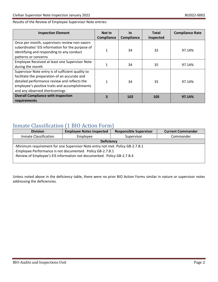#### Results of the Review of Employee Supervisor Note entries:

| <b>Inspection Element</b>                                                                                                                                                                                                             | <b>Not In</b><br>Compliance | <b>In</b><br>Compliance | <b>Total</b><br>Inspected | <b>Compliance Rate</b> |
|---------------------------------------------------------------------------------------------------------------------------------------------------------------------------------------------------------------------------------------|-----------------------------|-------------------------|---------------------------|------------------------|
| Once per month, supervisors review non-sworn<br>subordinates' EIS information for the purpose of<br>identifying and responding to any conduct<br>patterns or concerns                                                                 |                             | 34                      | 35                        | 97.14%                 |
| Employee Received at least one Supervisor Note<br>during the month                                                                                                                                                                    |                             | 34                      | 35                        | 97.14%                 |
| Supervisor Note entry is of sufficient quality to<br>facilitate the preparation of an accurate and<br>detailed performance review and reflects the<br>employee's positive traits and accomplishments<br>and any observed shortcomings |                             | 34                      | 35                        | 97.14%                 |
| <b>Overall Compliance with inspection</b><br>requirements                                                                                                                                                                             | 3                           | 102                     | 105                       | 97.14%                 |

## Inmate Classification (1 BIO Action Form)

| <b>Division</b>                                                                                                                                                                                                        | <b>Employee Notes Inspected</b> | <b>Responsible Supervisor</b> | <b>Current Commander</b> |  |  |
|------------------------------------------------------------------------------------------------------------------------------------------------------------------------------------------------------------------------|---------------------------------|-------------------------------|--------------------------|--|--|
| <b>Inmate Classification</b>                                                                                                                                                                                           | Employee                        | Supervisor                    | Commander                |  |  |
| <b>Deficiency</b>                                                                                                                                                                                                      |                                 |                               |                          |  |  |
| -Minimum requirement for one Supervisor Note entry not met. Policy GB-2.7.B.1<br>-Employee Performance is not documented. Policy GB-2.7.B.1<br>-Review of Employee's EIS information not documented. Policy GB-2.7.B.4 |                                 |                               |                          |  |  |

Unless noted above in the deficiency table, there were no prior BIO Action Forms similar in nature or supervisor notes addressing the deficiencies.